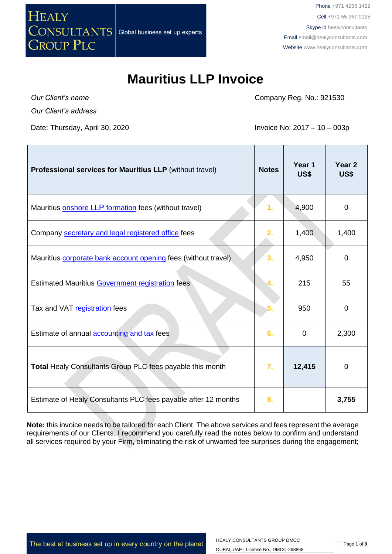

Т

#### **Mauritius LLP Invoice**

*Our Client's name Our Client's address*

Date: Thursday, April 30, 2020 **Invoice No: 2017** – 10 – 003p

Company Reg. No.: 921530

Т

| Professional services for Mauritius LLP (without travel)       | <b>Notes</b>   | Year 1<br>US\$ | Year <sub>2</sub><br>US\$ |
|----------------------------------------------------------------|----------------|----------------|---------------------------|
| Mauritius <b>onshore LLP</b> formation fees (without travel)   | 1.             | 4,900          | 0                         |
| Company secretary and legal registered office fees             | 2.             | 1,400          | 1,400                     |
| Mauritius corporate bank account opening fees (without travel) | 3 <sub>1</sub> | 4,950          | 0                         |
| Estimated Mauritius Government registration fees               |                | 215            | 55                        |
| Tax and VAT registration fees                                  |                | 950            | 0                         |
| Estimate of annual accounting and tax fees                     | 6.             | 0              | 2,300                     |
| Total Healy Consultants Group PLC fees payable this month      | 7.             | 12,415         | 0                         |
| Estimate of Healy Consultants PLC fees payable after 12 months | 8.             |                | 3,755                     |

**Note:** this invoice needs to be tailored for each Client. The above services and fees represent the average requirements of our Clients. I recommend you carefully read the notes below to confirm and understand all services required by your Firm, eliminating the risk of unwanted fee surprises during the engagement;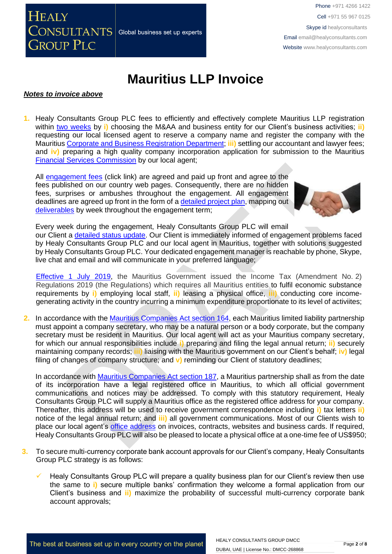

## **Mauritius LLP Invoice**

#### *Notes to invoice above*

**1.** Healy Consultants Group PLC fees to efficiently and effectively complete Mauritius LLP registration within [two weeks](http://www.healyconsultants.com/mauritius-company-registration/fees-timelines/) by **i)** choosing the M&AA and business entity for our Client's business activities; **ii)** requesting our local licensed agent to reserve a company name and register the company with the Mauritius [Corporate and Business Registration Department;](file:///D:/Downloads/companies.govmu.org/) **iii)** settling our accountant and lawyer fees; and **iv)** preparing a high quality company incorporation application for submission to the Mauritius [Financial Services Commission](http://www.fscmauritius.org/being-licensed/applying-for-a-licence/global-business.aspx) by our local agent;

All [engagement fees](http://www.healyconsultants.com/company-registration-fees/) (click link) are agreed and paid up front and agree to the fees published on our country web pages. Consequently, there are no hidden fees, surprises or ambushes throughout the engagement. All engagement deadlines are agreed up front in the form of a [detailed project plan,](http://www.healyconsultants.com/index-important-links/example-project-plan/) mapping out [deliverables](http://www.healyconsultants.com/deliverables-to-our-clients/) by week throughout the engagement term;



Every week during the engagement, Healy Consultants Group PLC will email

our Client a [detailed status update.](http://www.healyconsultants.com/index-important-links/weekly-engagement-status-email/) Our Client is immediately informed of engagement problems faced by Healy Consultants Group PLC and our local agent in Mauritius, together with solutions suggested by Healy Consultants Group PLC. Your dedicated engagement manager is reachable by phone, Skype, live chat and email and will communicate in your preferred language;

[Effective 1 July](https://www.ey.com/gl/en/services/tax/international-tax/alert--mauritius-issues-regulations-on-substance-requirements-and-computation-of-income-for-cfc-purposes) 2019, the Mauritius Government issued the Income Tax (Amendment No. 2) Regulations 2019 (the Regulations) which requires all Mauritius entities to fulfil economic substance requirements by **i)** employing local staff, **ii)** leasing a physical office, **iii)** conducting core incomegenerating activity in the country incurring a minimum expenditure proportionate to its level of activiites;

**2.** In accordance with the [Mauritius Companies Act section 164,](http://www.tridenttrust.com/pdfs/mau_comp_act_2001.pdf) each Mauritius limited liability partnership must appoint a company secretary, who may be a natural person or a body corporate, but the company secretary must be resident in Mauritius. Our local agent will act as your Mauritius company secretary, for which our annual responsibilities include **i)** preparing and filing the legal annual return; **ii)** securely maintaining company records; **iii)** liaising with the Mauritius government on our Client's behalf; **iv)** legal filing of changes of company structure; and **v)** reminding our Client of statutory deadlines;

In accordance with [Mauritius Companies Act section 187,](http://www.tridenttrust.com/pdfs/mau_comp_act_2001.pdf) a Mauritius partnership shall as from the date of its incorporation have a legal registered office in Mauritius, to which all official government communications and notices may be addressed. To comply with this statutory requirement, Healy Consultants Group PLC will supply a Mauritius office as the registered office address for your company. Thereafter, this address will be used to receive government correspondence including **i)** tax letters **ii)** notice of the legal annual return; and **iii)** all government communications. Most of our Clients wish to place our local agent's [office address](http://www.healyconsultants.com/corporate-outsourcing-services/company-secretary-and-legal-registered-office/) on invoices, contracts, websites and business cards. If required, Healy Consultants Group PLC will also be pleased to locate a physical office at a one-time fee of US\$950;

- **3.** To secure multi-currency corporate bank account approvals for our Client's company, Healy Consultants Group PLC strategy is as follows:
	- Healy Consultants Group PLC will prepare a quality business plan for our Client's review then use the same to **i)** secure multiple banks' confirmation they welcome a formal application from our Client's business and **ii)** maximize the probability of successful multi-currency corporate bank account approvals;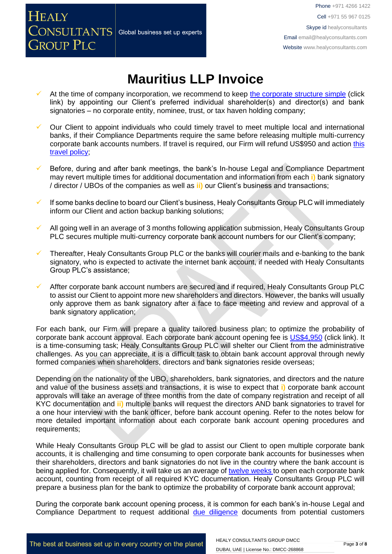## **Mauritius LLP Invoice**

**HEALY** 

**GROUP PLC** 

**CONSULTANTS** Global business set up experts

- At the time of company incorporation, we recommend to keep [the corporate structure simple](https://www.healyconsultants.com/about-us/complex-client-engagements/simplify-business-setup/) (click link) by appointing our Client's preferred individual shareholder(s) and director(s) and bank signatories – no corporate entity, nominee, trust, or tax haven holding company;
- Our Client to appoint individuals who could timely travel to meet multiple local and international banks, if their Compliance Departments require the same before releasing multiple multi-currency corporate bank accounts numbers. If travel is required, our Firm will refund US\$950 and action [this](https://www.healyconsultants.com/international-banking/corporate-accounts/meet-bank-officer/)  [travel policy;](https://www.healyconsultants.com/international-banking/corporate-accounts/meet-bank-officer/)
- Before, during and after bank meetings, the bank's In-house Legal and Compliance Department may revert multiple times for additional documentation and information from each **i)** bank signatory / director / UBOs of the companies as well as **ii)** our Client's business and transactions;
- If some banks decline to board our Client's business, Healy Consultants Group PLC will immediately inform our Client and action backup banking solutions;
- All going well in an average of 3 months following application submission, Healy Consultants Group PLC secures multiple multi-currency corporate bank account numbers for our Client's company;
- Thereafter, Healy Consultants Group PLC or the banks will courier mails and e-banking to the bank signatory, who is expected to activate the internet bank account, if needed with Healy Consultants Group PLC's assistance;
- Affter corporate bank account numbers are secured and if required, Healy Consultants Group PLC to assist our Client to appoint more new shareholders and directors. However, the banks will usually only approve them as bank signatory after a face to face meeting and review and approval of a bank signatory application;

For each bank, our Firm will prepare a quality tailored business plan; to optimize the probability of corporate bank account approval. Each corporate bank account opening fee is [US\\$4,950](https://www.healyconsultants.com/corporate-banking-services/guaranteed-corporate-bank-account-approvals/) (click link). It is a time-consuming task; Healy Consultants Group PLC will shelter our Client from the administrative challenges. As you can appreciate, it is a difficult task to obtain bank account approval through newly formed companies when shareholders, directors and bank signatories reside overseas;

Depending on the nationality of the UBO, shareholders, bank signatories, and directors and the nature and value of the business assets and transactions, it is wise to expect that **i)** corporate bank account approvals will take an average of three months from the date of company registration and receipt of all KYC documentation and **ii)** multiple banks will request the directors AND bank signatories to travel for a one hour interview with the bank officer, before bank account opening. Refer to the notes below for more detailed important information about each corporate bank account opening procedures and requirements;

While Healy Consultants Group PLC will be glad to assist our Client to open multiple corporate bank accounts, it is challenging and time consuming to open corporate bank accounts for businesses when their shareholders, directors and bank signatories do not live in the country where the bank account is being applied for. Consequently, it will take us an average of [twelve weeks](http://www.healyconsultants.com/international-banking/bitcoin-business-bank-account/) to open each corporate bank account, counting from receipt of all required KYC documentation. Healy Consultants Group PLC will prepare a business plan for the bank to optimize the probability of corporate bank account approval;

During the corporate bank account opening process, it is common for each bank's in-house Legal and Compliance Department to request additional [due diligence](http://www.healyconsultants.com/due-diligence/) documents from potential customers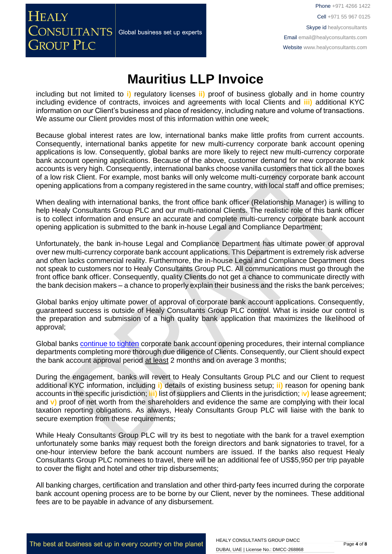## **Mauritius LLP Invoice**

**HEALY** 

**GROUP PLC** 

**CONSULTANTS** Global business set up experts

including but not limited to **i)** regulatory licenses **ii)** proof of business globally and in home country including evidence of contracts, invoices and agreements with local Clients and **iii)** additional KYC information on our Client's business and place of residency, including nature and volume of transactions. We assume our Client provides most of this information within one week;

Because global interest rates are low, international banks make little profits from current accounts. Consequently, international banks appetite for new multi-currency corporate bank account opening applications is low. Consequently, global banks are more likely to reject new multi-currency corporate bank account opening applications. Because of the above, customer demand for new corporate bank accounts is very high. Consequently, international banks choose vanilla customers that tick all the boxes of a low risk Client. For example, most banks will only welcome multi-currency corporate bank account opening applications from a company registered in the same country, with local staff and office premises;

When dealing with international banks, the front office bank officer (Relationship Manager) is willing to help Healy Consultants Group PLC and our multi-national Clients. The realistic role of this bank officer is to collect information and ensure an accurate and complete multi-currency corporate bank account opening application is submitted to the bank in-house Legal and Compliance Department;

Unfortunately, the bank in-house Legal and Compliance Department has ultimate power of approval over new multi-currency corporate bank account applications. This Department is extremely risk adverse and often lacks commercial reality. Furthermore, the in-house Legal and Compliance Department does not speak to customers nor to Healy Consultants Group PLC. All communications must go through the front office bank officer. Consequently, quality Clients do not get a chance to communicate directly with the bank decision makers – a chance to properly explain their business and the risks the bank perceives;

Global banks enjoy ultimate power of approval of corporate bank account applications. Consequently, guaranteed success is outside of Healy Consultants Group PLC control. What is inside our control is the preparation and submission of a high quality bank application that maximizes the likelihood of approval;

Global banks [continue to tighten](https://www.healyconsultants.com/international-banking/opening-corporate-bank-accounts/) corporate bank account opening procedures, their internal compliance departments completing more thorough due diligence of Clients. Consequently, our Client should expect the bank account approval period at least 2 months and on average 3 months;

During the engagement, banks will revert to Healy Consultants Group PLC and our Client to request additional KYC information, including **i)** details of existing business setup; **ii)** reason for opening bank accounts in the specific jurisdiction; **iii)** list of suppliers and Clients in the jurisdiction; i**v)** lease agreement; and **v)** proof of net worth from the shareholders and evidence the same are complying with their local taxation reporting obligations. As always, Healy Consultants Group PLC will liaise with the bank to secure exemption from these requirements;

While Healy Consultants Group PLC will try its best to negotiate with the bank for a travel exemption unfortunately some banks may request both the foreign directors and bank signatories to travel, for a one-hour interview before the bank account numbers are issued. If the banks also request Healy Consultants Group PLC nominees to travel, there will be an additional fee of US\$5,950 per trip payable to cover the flight and hotel and other trip disbursements;

All banking charges, certification and translation and other third-party fees incurred during the corporate bank account opening process are to be borne by our Client, never by the nominees. These additional fees are to be payable in advance of any disbursement.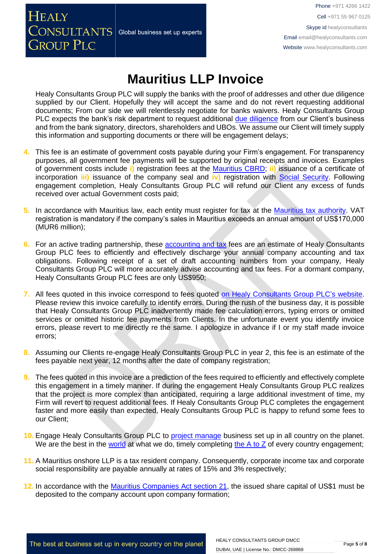**HEALY**  $\overline{\text{CONSULTANTS}}\vert$  Global business set up experts **GROUP PLC** 

Phone +971 4266 1422 Cell +971 55 967 0125 Skype id healyconsultants Email [email@healyconsultants.com](mailto:EMAIL@HEALYCONSULTANTS.COM) Website [www.healyconsultants.com](http://www.healyconsultants.com/)

# **Mauritius LLP Invoice**

Healy Consultants Group PLC will supply the banks with the proof of addresses and other due diligence supplied by our Client. Hopefully they will accept the same and do not revert requesting additional documents; From our side we will relentlessly negotiate for banks waivers. Healy Consultants Group PLC expects the bank's risk department to request additional [due diligence](http://www.healyconsultants.com/due-diligence/) from our Client's business and from the bank signatory, directors, shareholders and UBOs. We assume our Client will timely supply this information and supporting documents or there will be engagement delays;

- **4.** This fee is an estimate of government costs payable during your Firm's engagement. For transparency purposes, all government fee payments will be supported by original receipts and invoices. Examples of government costs include **i)** registration fees at the [Mauritius CBRD;](http://companies.govmu.org/English/Pages/default.aspx) **ii)** issuance of a certificate of incorporation **iii)** issuance of the company seal and **iv)** registration with [Social Security.](http://socialsecurity.govmu.org/English/Pages/default.aspx) Following engagement completion, Healy Consultants Group PLC will refund our Client any excess of funds received over actual Government costs paid;
- **5.** In accordance with Mauritius law, each entity must register for tax at the [Mauritius tax authority.](http://www.mra.mu/) VAT registration is mandatory if the company's sales in Mauritius exceeds an annual amount of US\$170,000 (MUR6 million);
- **6.** For an active trading partnership, these [accounting and tax](http://www.healyconsultants.com/mauritius-company-registration/accounting-legal/) fees are an estimate of Healy Consultants Group PLC fees to efficiently and effectively discharge your annual company accounting and tax obligations. Following receipt of a set of draft accounting numbers from your company, Healy Consultants Group PLC will more accurately advise accounting and tax fees. For a dormant company, Healy Consultants Group PLC fees are only US\$950;
- **7.** All fees quoted in this invoice correspond to fees quoted [on Healy Consultants Group PLC's](http://www.healyconsultants.com/company-registration-fees/) website. Please review this invoice carefully to identify errors. During the rush of the business day, it is possible that Healy Consultants Group PLC inadvertently made fee calculation errors, typing errors or omitted services or omitted historic fee payments from Clients. In the unfortunate event you identify invoice errors, please revert to me directly re the same. I apologize in advance if I or my staff made invoice errors;
- **8.** Assuming our Clients re-engage Healy Consultants Group PLC in year 2, this fee is an estimate of the fees payable next year, 12 months after the date of company registration;
- **9.** The fees quoted in this invoice are a prediction of the fees required to efficiently and effectively complete this engagement in a timely manner. If during the engagement Healy Consultants Group PLC realizes that the project is more complex than anticipated, requiring a large additional investment of time, my Firm will revert to request additional fees. If Healy Consultants Group PLC completes the engagement faster and more easily than expected, Healy Consultants Group PLC is happy to refund some fees to our Client;
- **10.** Engage Healy Consultants Group PLC to [project manage](http://www.healyconsultants.com/project-manage-engagements/) business set up in all country on the planet. We are the best in the [world](http://www.healyconsultants.com/best-in-the-world/) at what we do, timely completing [the A to Z](http://www.healyconsultants.com/a-to-z-of-business-set-up/) of every country engagement:
- **11.** A Mauritius onshore LLP is a tax resident company. Consequently, corporate income tax and corporate social responsibility are payable annually at rates of 15% and 3% respectively;
- **12.** In accordance with the [Mauritius Companies Act section 21,](http://www.tridenttrust.com/pdfs/mau_comp_act_2001.pdf) the issued share capital of US\$1 must be deposited to the company account upon company formation;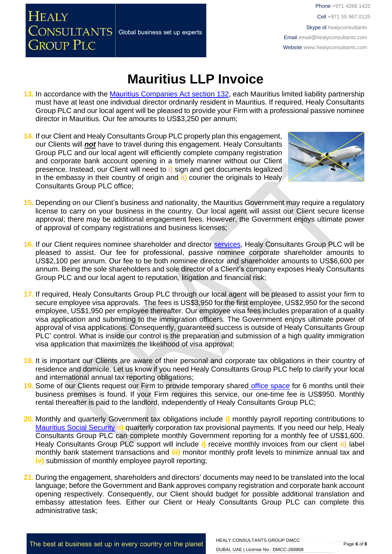## **Mauritius LLP Invoice**

- **13.** In accordance with the [Mauritius Companies Act section 132,](http://www.tridenttrust.com/pdfs/mau_comp_act_2001.pdf) each Mauritius limited liability partnership must have at least one individual director ordinarily resident in Mauritius. If required, Healy Consultants Group PLC and our local agent will be pleased to provide your Firm with a professional passive nominee director in Mauritius. Our fee amounts to US\$3,250 per annum;
- **14.** If our Client and Healy Consultants Group PLC properly plan this engagement, our Clients will *not* have to travel during this engagement. Healy Consultants Group PLC and our local agent will efficiently complete company registration and corporate bank account opening in a timely manner without our Client presence. Instead, our Client will need to **i)** sign and get documents legalized in the embassy in their country of origin and **ii)** courier the originals to Healy Consultants Group PLC office;

 $\overline{\text{CONSULTANTS}}\vert$  Global business set up experts

**HEALY** 

**GROUP PLC** 



- **15.** Depending on our Client's business and nationality, the Mauritius Government may require a regulatory license to carry on your business in the country. Our local agent will assist our Client secure license approval; there may be additional engagement fees. However, the Government enjoys ultimate power of approval of company registrations and business licenses;
- **16.** If our Client requires nominee shareholder and director [services,](http://www.healyconsultants.com/corporate-outsourcing-services/nominee-shareholders-directors/) Healy Consultants Group PLC will be pleased to assist. Our fee for professional, passive nominee corporate shareholder amounts to US\$2,100 per annum. Our fee to be both nominee director and shareholder amounts to US\$6,600 per annum. Being the sole shareholders and sole director of a Client's company exposes Healy Consultants Group PLC and our local agent to reputation, litigation and financial risk;
- **17.** If required, Healy Consultants Group PLC through our local agent will be pleased to assist your firm to secure employee visa approvals. The fees is US\$3,950 for the first employee, US\$2,950 for the second employee, US\$1,950 per employee thereafter. Our employee visa fees includes preparation of a quality visa application and submitting to the immigration officers. The Government enjoys ultimate power of approval of visa applications. Consequently, guaranteed success is outside of Healy Consultants Group PLC' control. What is inside our control is the preparation and submission of a high quality immigration visa application that maximizes the likelihood of visa approval;
- **18.** It is important our Clients are aware of their personal and corporate tax obligations in their country of residence and domicile. Let us know if you need Healy Consultants Group PLC help to clarify your local and international annual tax reporting obligations;
- **19.** Some of our Clients request our Firm to provide temporary shared [office space](http://www.healyconsultants.com/virtual-office/) for 6 months until their business premises is found. If your Firm requires this service, our one-time fee is US\$950. Monthly rental thereafter is paid to the landlord, independently of Healy Consultants Group PLC;
- **20.** Monthly and quarterly Government tax obligations include **i)** monthly payroll reporting contributions to [Mauritius Social Security](http://socialsecurity.govmu.org/English/Pages/default.aspx) **ii)** quarterly corporation tax provisional payments. If you need our help, Healy Consultants Group PLC can complete monthly Government reporting for a monthly fee of US\$1,600. Healy Consultants Group PLC support will include **i)** receive monthly invoices from our client **ii)** label monthly bank statement transactions and **iii)** monitor monthly profit levels to minimize annual tax and **iv)** submission of monthly employee payroll reporting;
- **21.** During the engagement, shareholders and directors' documents may need to be translated into the local language; before the Government and Bank approves company registration and corporate bank account opening respectively. Consequently, our Client should budget for possible additional translation and embassy attestation fees. Either our Client or Healy Consultants Group PLC can complete this administrative task;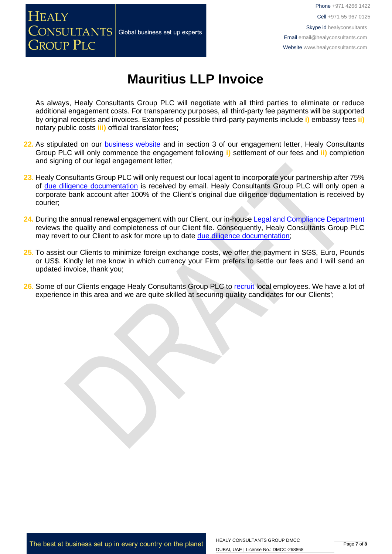

## **Mauritius LLP Invoice**

As always, Healy Consultants Group PLC will negotiate with all third parties to eliminate or reduce additional engagement costs. For transparency purposes, all third-party fee payments will be supported by original receipts and invoices. Examples of possible third-party payments include **i)** embassy fees **ii)** notary public costs **iii)** official translator fees;

- 22. As stipulated on our **business website** and in section 3 of our engagement letter, Healy Consultants Group PLC will only commence the engagement following **i)** settlement of our fees and **ii)** completion and signing of our legal engagement letter;
- **23.** Healy Consultants Group PLC will only request our local agent to incorporate your partnership after 75% of [due diligence documentation](http://www.healyconsultants.com/due-diligence/) is received by email. Healy Consultants Group PLC will only open a corporate bank account after 100% of the Client's original due diligence documentation is received by courier;
- **24.** During the annual renewal engagement with our Client, our in-house [Legal and Compliance Department](http://www.healyconsultants.com/about-us/key-personnel/cai-xin-profile/) reviews the quality and completeness of our Client file. Consequently, Healy Consultants Group PLC may revert to our Client to ask for more up to date [due diligence documentation;](http://www.healyconsultants.com/due-diligence/)
- **25.** To assist our Clients to minimize foreign exchange costs, we offer the payment in SG\$, Euro, Pounds or US\$. Kindly let me know in which currency your Firm prefers to settle our fees and I will send an updated invoice, thank you;
- 26. Some of our Clients engage Healy Consultants Group PLC to [recruit](http://www.healyconsultants.com/corporate-outsourcing-services/how-we-help-our-clients-recruit-quality-employees/) local employees. We have a lot of experience in this area and we are quite skilled at securing quality candidates for our Clients';